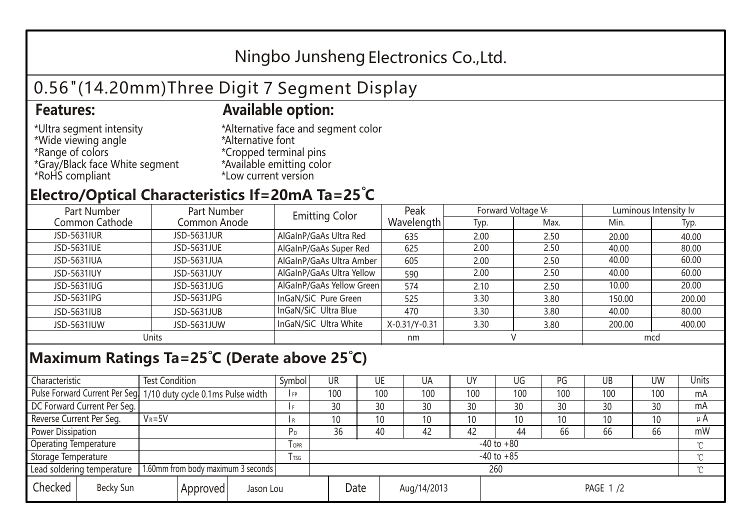## Ningbo Junsheng Electronics Co.,Ltd.

# 0.56"(14.20mm)Three Digit 7 Segment Display

### **Features: Available option:**

- \*Ultra segment intensity \*Wide viewing angle \*Range of colors \*Gray/Black face White segment \*RoHS compliant
- \*Alternative face and segment color \*Alternative font \*Cropped terminal pins \*Available emitting color \*Low current version

### **Electro/Optical Characteristics If=20mA Ta=25 C**

| Part Number    | Part Number  | <b>Emitting Color</b>     | Peak          | Forward Voltage VF |      | Luminous Intensity lv |        |  |
|----------------|--------------|---------------------------|---------------|--------------------|------|-----------------------|--------|--|
| Common Cathode | Common Anode |                           | Wavelength    | Typ.               | Max. | Min.                  | Typ.   |  |
| JSD-5631IUR    | JSD-5631JUR  | AlGaInP/GaAs Ultra Red    | 635           | 2.00               | 2.50 | 20.00                 | 40.00  |  |
| JSD-5631IUE    | JSD-5631JUE  | AlGaInP/GaAs Super Red    | 625           | 2.00               | 2.50 | 40.00                 | 80.00  |  |
| JSD-5631IUA    | JSD-5631JUA  | AlGaInP/GaAs Ultra Amber  | 605           | 2.00               | 2.50 | 40.00                 | 60.00  |  |
| JSD-5631IUY    | JSD-5631JUY  | AlGaInP/GaAs Ultra Yellow | 590           | 2.00               | 2.50 | 40.00                 | 60.00  |  |
| JSD-5631IUG    | JSD-5631JUG  | AlGaInP/GaAs Yellow Green | 574           | 2.10               | 2.50 | 10.00                 | 20.00  |  |
| JSD-5631IPG    | JSD-5631JPG  | InGaN/SiC Pure Green      | 525           | 3.30               | 3.80 | 150.00                | 200.00 |  |
| JSD-5631IUB    | JSD-5631JUB  | InGaN/SiC Ultra Blue      | 470           | 3.30               | 3.80 | 40.00                 | 80.00  |  |
| JSD-5631IUW    | JSD-5631JUW  | InGaN/SiC Ultra White     | X-0.31/Y-0.31 | 3.30               | 3.80 | 200.00                | 400.00 |  |
| Units          |              |                           | nm            |                    |      | mcd                   |        |  |

### **Maximum Ratings Ta=25°C (Derate above 25°C)**

| Characteristic                                |            | <b>Test Condition</b><br>Symbol                                  |                |                     | UR              |  | UE  | UA  | UY       | UG  | PG  | UB              | <b>UW</b> | <b>Units</b> |
|-----------------------------------------------|------------|------------------------------------------------------------------|----------------|---------------------|-----------------|--|-----|-----|----------|-----|-----|-----------------|-----------|--------------|
|                                               |            | Pulse Forward Current Per Seg. 1/10 duty cycle 0.1ms Pulse width |                |                     | 100             |  | 100 | 100 | 100      | 100 | 100 | 100             | 100       | mA           |
| DC Forward Current Per Seg.                   |            |                                                                  |                |                     | 30              |  | 30  | 30  | 30       | 30  | 30  | 30              | 30        | mA           |
| Reverse Current Per Seg.                      | $V_R = 5V$ |                                                                  |                | I R                 | 10 <sup>°</sup> |  | 10  | 10  | 10       | 10  | 10  | 10 <sup>°</sup> | 10        | $\mu$ A      |
| <b>Power Dissipation</b>                      |            |                                                                  |                |                     | 36              |  | 40  | 42  | 42       | 44  | 66  | 66              | 66        | mW           |
| <b>Operating Temperature</b>                  |            |                                                                  | <b>OPR</b>     | $-40$ to $+80$      |                 |  |     |     |          |     |     | $\sim$          |           |              |
| Storage Temperature                           |            | <b>I</b> TSG                                                     | $-40$ to $+85$ |                     |                 |  |     |     |          |     |     | $\sim$          |           |              |
| Lead soldering temperature                    |            | 1.60mm from body maximum 3 seconds                               |                | 260<br>$\gamma$     |                 |  |     |     |          |     |     |                 |           |              |
| Checked<br>Becky Sun<br>Approved<br>Jason Lou |            |                                                                  |                | Date<br>Aug/14/2013 |                 |  |     |     | PAGE 1/2 |     |     |                 |           |              |